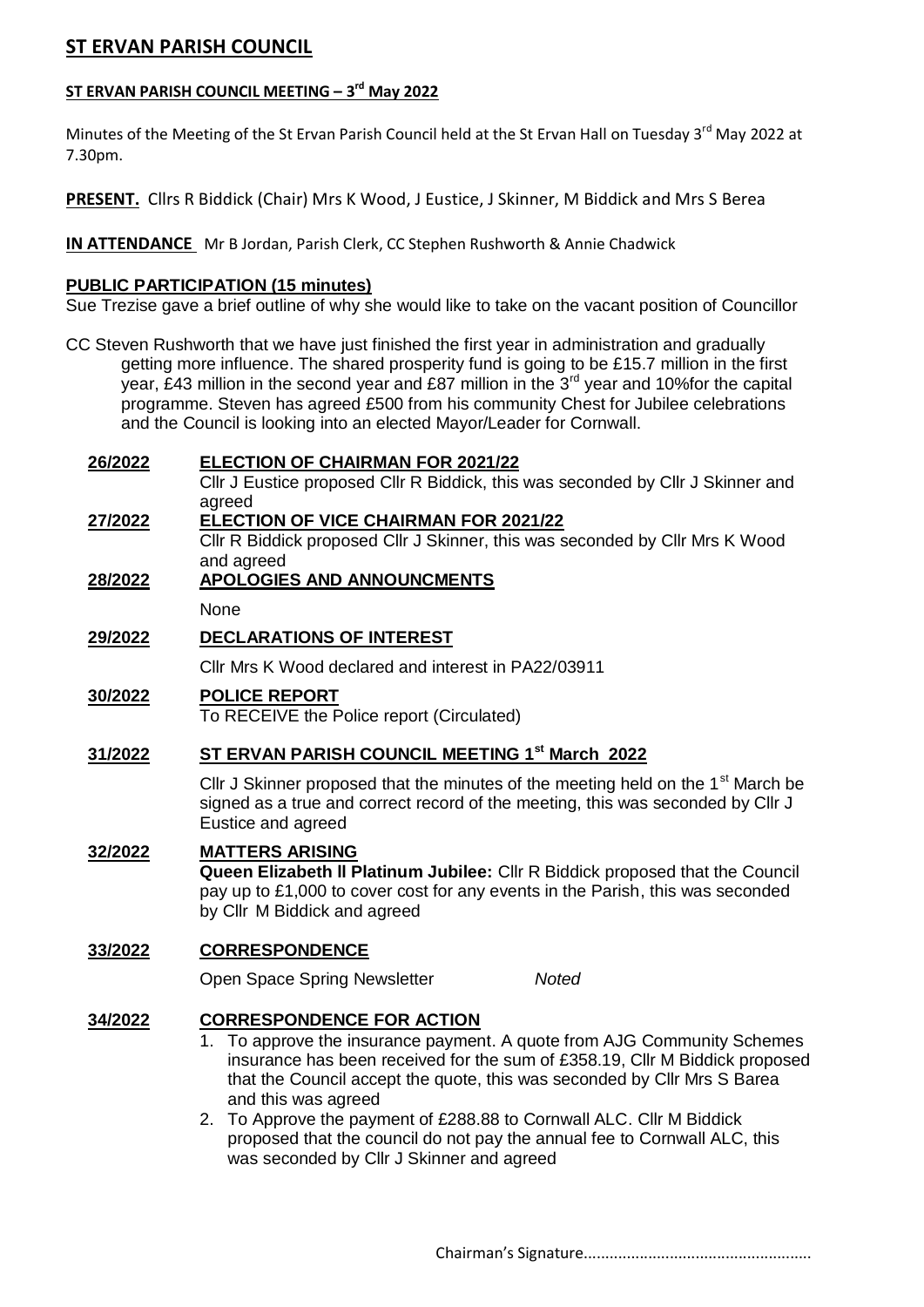# **ST ERVAN PARISH COUNCIL**

### **ST ERVAN PARISH COUNCIL MEETING – 3 rd May 2022**

Minutes of the Meeting of the St Ervan Parish Council held at the St Ervan Hall on Tuesday 3<sup>rd</sup> May 2022 at 7.30pm.

**PRESENT.** Cllrs R Biddick (Chair) Mrs K Wood, J Eustice, J Skinner, M Biddick and Mrs S Berea

**IN ATTENDANCE** Mr B Jordan, Parish Clerk, CC Stephen Rushworth & Annie Chadwick

#### **PUBLIC PARTICIPATION (15 minutes)**

Sue Trezise gave a brief outline of why she would like to take on the vacant position of Councillor

CC Steven Rushworth that we have just finished the first year in administration and gradually getting more influence. The shared prosperity fund is going to be £15.7 million in the first year, £43 million in the second year and £87 million in the  $3<sup>rd</sup>$  year and 10% for the capital programme. Steven has agreed £500 from his community Chest for Jubilee celebrations and the Council is looking into an elected Mayor/Leader for Cornwall.

| 26/2022        | <b>ELECTION OF CHAIRMAN FOR 2021/22</b>                                                                 |  |  |
|----------------|---------------------------------------------------------------------------------------------------------|--|--|
|                | Cllr J Eustice proposed Cllr R Biddick, this was seconded by Cllr J Skinner and<br>agreed               |  |  |
| 27/2022        | <b>ELECTION OF VICE CHAIRMAN FOR 2021/22</b>                                                            |  |  |
|                | CIIr R Biddick proposed CIIr J Skinner, this was seconded by CIIr Mrs K Wood                            |  |  |
| 28/2022        | and agreed<br><b>APOLOGIES AND ANNOUNCMENTS</b>                                                         |  |  |
|                | None                                                                                                    |  |  |
| 29/2022        | <b>DECLARATIONS OF INTEREST</b>                                                                         |  |  |
|                | Cllr Mrs K Wood declared and interest in PA22/03911                                                     |  |  |
| 30/2022        | <b>POLICE REPORT</b>                                                                                    |  |  |
|                | To RECEIVE the Police report (Circulated)                                                               |  |  |
| 31/2022        | ST ERVAN PARISH COUNCIL MEETING 1st March 2022                                                          |  |  |
|                | Cllr J Skinner proposed that the minutes of the meeting held on the 1 <sup>st</sup> March be            |  |  |
|                | signed as a true and correct record of the meeting, this was seconded by Cllr J                         |  |  |
|                | Eustice and agreed                                                                                      |  |  |
| <u>32/2022</u> | <b>MATTERS ARISING</b><br>Queen Elizabeth II Platinum Jubilee: Cllr R Biddick proposed that the Council |  |  |
|                | pay up to £1,000 to cover cost for any events in the Parish, this was seconded                          |  |  |
|                | by Cllr M Biddick and agreed                                                                            |  |  |
| 33/2022        | <b>CORRESPONDENCE</b>                                                                                   |  |  |
|                | Open Space Spring Newsletter<br><b>Noted</b>                                                            |  |  |
| 34/2022        | <b>CORRESPONDENCE FOR ACTION</b>                                                                        |  |  |
|                | 1. To approve the insurance payment. A quote from AJG Community Schemes                                 |  |  |
|                | insurance has been received for the sum of £358.19, Cllr M Biddick proposed                             |  |  |
|                | that the Council accept the quote, this was seconded by Cllr Mrs S Barea<br>and this was agreed         |  |  |
|                | 2. To Approve the payment of £288.88 to Cornwall ALC. Cllr M Biddick                                    |  |  |
|                | proposed that the council do not pay the annual fee to Cornwall ALC, this                               |  |  |

was seconded by Cllr J Skinner and agreed

Chairman's Signature.....................................................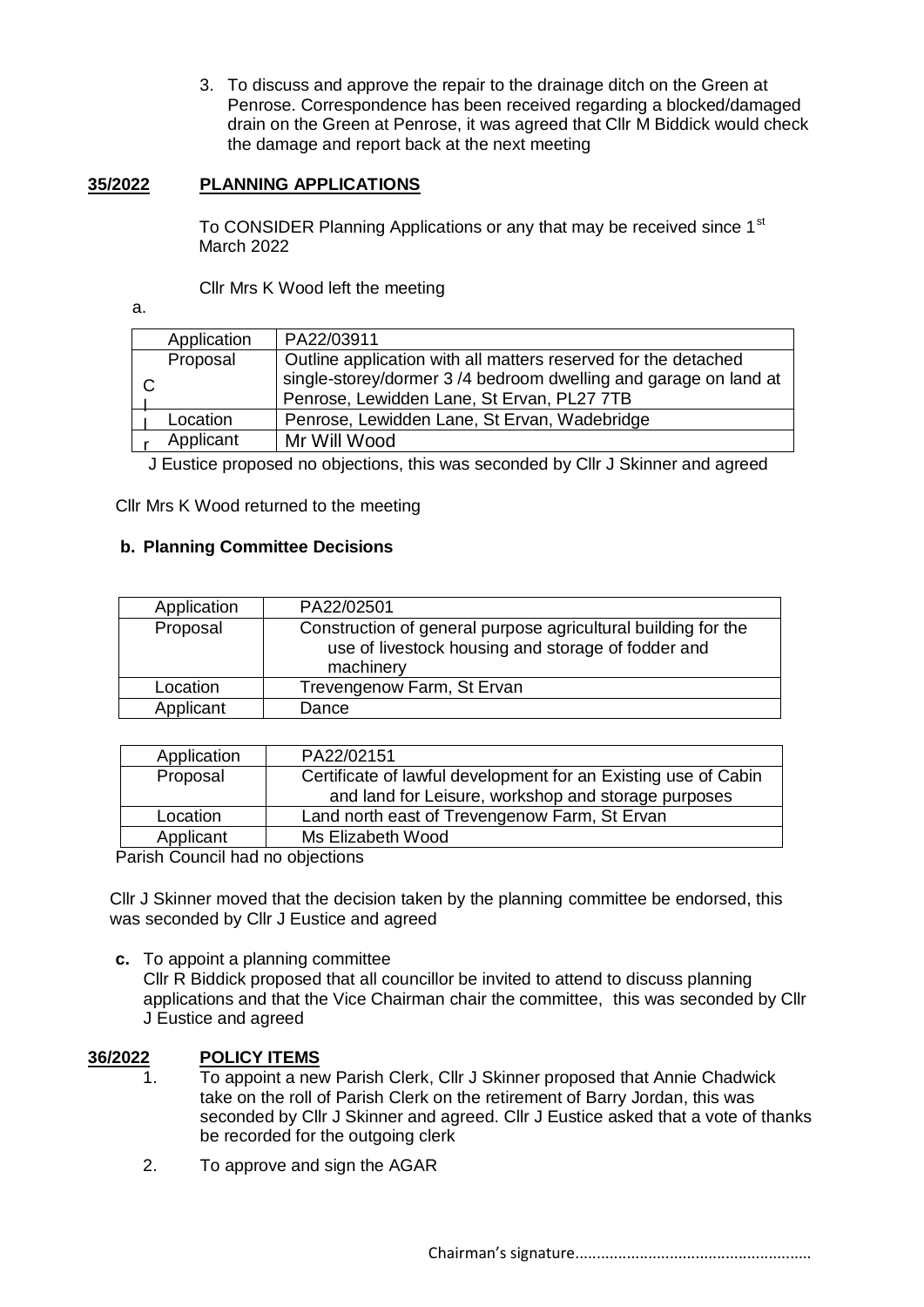3. To discuss and approve the repair to the drainage ditch on the Green at Penrose. Correspondence has been received regarding a blocked/damaged drain on the Green at Penrose, it was agreed that Cllr M Biddick would check the damage and report back at the next meeting

#### **35/2022 PLANNING APPLICATIONS**

To CONSIDER Planning Applications or any that may be received since 1<sup>st</sup> March 2022

Cllr Mrs K Wood left the meeting

a.

| Application | PA22/03911                                                                                                    |
|-------------|---------------------------------------------------------------------------------------------------------------|
| Proposal    | Outline application with all matters reserved for the detached                                                |
|             | single-storey/dormer 3/4 bedroom dwelling and garage on land at<br>Penrose, Lewidden Lane, St Ervan, PL27 7TB |
| Location    | Penrose, Lewidden Lane, St Ervan, Wadebridge                                                                  |
| Applicant   | Mr Will Wood                                                                                                  |
|             |                                                                                                               |

J Eustice proposed no objections, this was seconded by Cllr J Skinner and agreed

Cllr Mrs K Wood returned to the meeting

#### **b. Planning Committee Decisions**

| Application | PA22/02501                                                                                                                       |
|-------------|----------------------------------------------------------------------------------------------------------------------------------|
| Proposal    | Construction of general purpose agricultural building for the<br>use of livestock housing and storage of fodder and<br>machinery |
| Location    | Trevengenow Farm, St Ervan                                                                                                       |
| Applicant   | Dance                                                                                                                            |

| Application | PA22/02151                                                     |
|-------------|----------------------------------------------------------------|
| Proposal    | Certificate of lawful development for an Existing use of Cabin |
|             | and land for Leisure, workshop and storage purposes            |
| Location    | Land north east of Trevengenow Farm, St Ervan                  |
| Applicant   | Ms Elizabeth Wood                                              |
|             |                                                                |

Parish Council had no objections

Cllr J Skinner moved that the decision taken by the planning committee be endorsed, this was seconded by Cllr J Eustice and agreed

**c.** To appoint a planning committee Cllr R Biddick proposed that all councillor be invited to attend to discuss planning applications and that the Vice Chairman chair the committee, this was seconded by Cllr J Eustice and agreed

## **36/2022 POLICY ITEMS**

- 1. To appoint a new Parish Clerk, Cllr J Skinner proposed that Annie Chadwick take on the roll of Parish Clerk on the retirement of Barry Jordan, this was seconded by Cllr J Skinner and agreed. Cllr J Eustice asked that a vote of thanks be recorded for the outgoing clerk
- 2. To approve and sign the AGAR